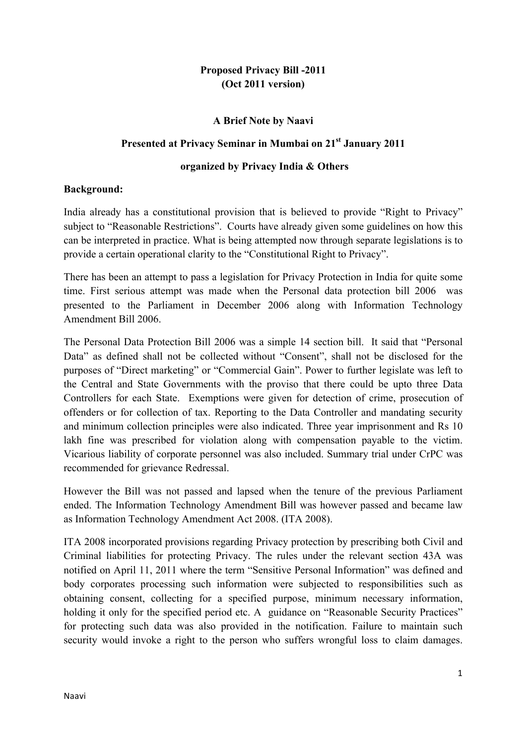## **Proposed Privacy Bill -2011 (Oct 2011 version)**

### **A Brief Note by Naavi**

### **Presented at Privacy Seminar in Mumbai on 21st January 2011**

#### **organized by Privacy India & Others**

### **Background:**

India already has a constitutional provision that is believed to provide "Right to Privacy" subject to "Reasonable Restrictions". Courts have already given some guidelines on how this can be interpreted in practice. What is being attempted now through separate legislations is to provide a certain operational clarity to the "Constitutional Right to Privacy".

There has been an attempt to pass a legislation for Privacy Protection in India for quite some time. First serious attempt was made when the Personal data protection bill 2006 was presented to the Parliament in December 2006 along with Information Technology Amendment Bill 2006.

The Personal Data Protection Bill 2006 was a simple 14 section bill. It said that "Personal Data" as defined shall not be collected without "Consent", shall not be disclosed for the purposes of "Direct marketing" or "Commercial Gain". Power to further legislate was left to the Central and State Governments with the proviso that there could be upto three Data Controllers for each State. Exemptions were given for detection of crime, prosecution of offenders or for collection of tax. Reporting to the Data Controller and mandating security and minimum collection principles were also indicated. Three year imprisonment and Rs 10 lakh fine was prescribed for violation along with compensation payable to the victim. Vicarious liability of corporate personnel was also included. Summary trial under CrPC was recommended for grievance Redressal.

However the Bill was not passed and lapsed when the tenure of the previous Parliament ended. The Information Technology Amendment Bill was however passed and became law as Information Technology Amendment Act 2008. (ITA 2008).

ITA 2008 incorporated provisions regarding Privacy protection by prescribing both Civil and Criminal liabilities for protecting Privacy. The rules under the relevant section 43A was notified on April 11, 2011 where the term "Sensitive Personal Information" was defined and body corporates processing such information were subjected to responsibilities such as obtaining consent, collecting for a specified purpose, minimum necessary information, holding it only for the specified period etc. A guidance on "Reasonable Security Practices" for protecting such data was also provided in the notification. Failure to maintain such security would invoke a right to the person who suffers wrongful loss to claim damages.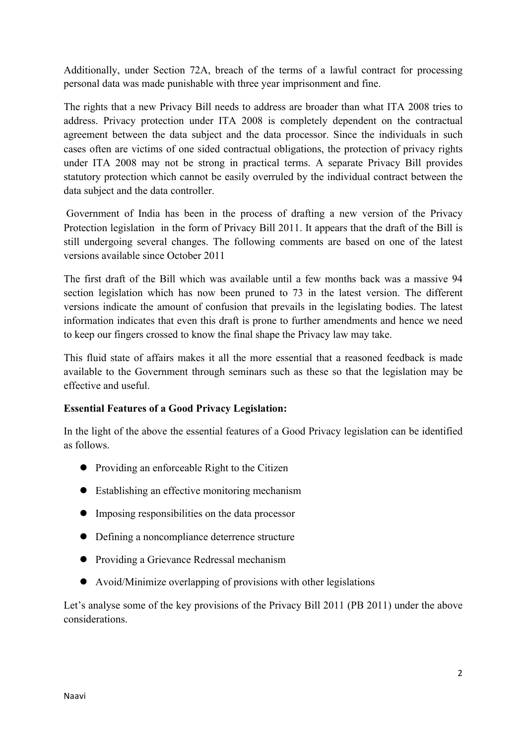Additionally, under Section 72A, breach of the terms of a lawful contract for processing personal data was made punishable with three year imprisonment and fine.

The rights that a new Privacy Bill needs to address are broader than what ITA 2008 tries to address. Privacy protection under ITA 2008 is completely dependent on the contractual agreement between the data subject and the data processor. Since the individuals in such cases often are victims of one sided contractual obligations, the protection of privacy rights under ITA 2008 may not be strong in practical terms. A separate Privacy Bill provides statutory protection which cannot be easily overruled by the individual contract between the data subject and the data controller.

 Government of India has been in the process of drafting a new version of the Privacy Protection legislation in the form of Privacy Bill 2011. It appears that the draft of the Bill is still undergoing several changes. The following comments are based on one of the latest versions available since October 2011

The first draft of the Bill which was available until a few months back was a massive 94 section legislation which has now been pruned to 73 in the latest version. The different versions indicate the amount of confusion that prevails in the legislating bodies. The latest information indicates that even this draft is prone to further amendments and hence we need to keep our fingers crossed to know the final shape the Privacy law may take.

This fluid state of affairs makes it all the more essential that a reasoned feedback is made available to the Government through seminars such as these so that the legislation may be effective and useful.

### **Essential Features of a Good Privacy Legislation:**

In the light of the above the essential features of a Good Privacy legislation can be identified as follows.

- Providing an enforceable Right to the Citizen
- Establishing an effective monitoring mechanism
- Imposing responsibilities on the data processor
- Defining a noncompliance deterrence structure
- Providing a Grievance Redressal mechanism
- Avoid/Minimize overlapping of provisions with other legislations

Let's analyse some of the key provisions of the Privacy Bill 2011 (PB 2011) under the above considerations.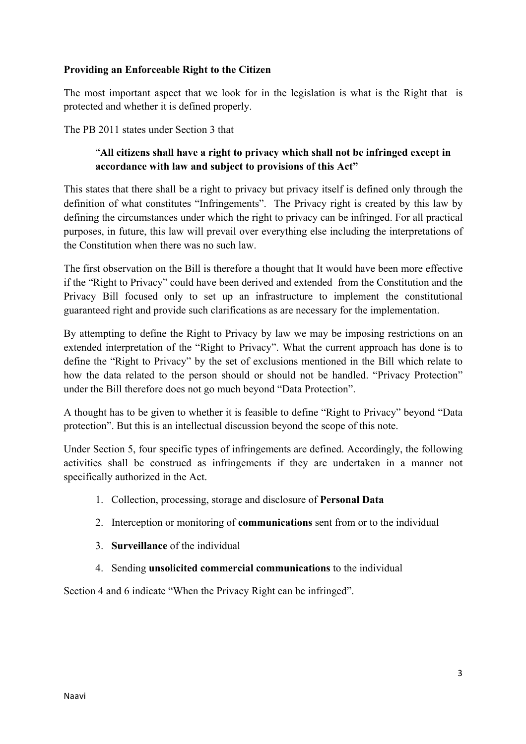### **Providing an Enforceable Right to the Citizen**

The most important aspect that we look for in the legislation is what is the Right that is protected and whether it is defined properly.

The PB 2011 states under Section 3 that

# "**All citizens shall have a right to privacy which shall not be infringed except in accordance with law and subject to provisions of this Act"**

This states that there shall be a right to privacy but privacy itself is defined only through the definition of what constitutes "Infringements". The Privacy right is created by this law by defining the circumstances under which the right to privacy can be infringed. For all practical purposes, in future, this law will prevail over everything else including the interpretations of the Constitution when there was no such law.

The first observation on the Bill is therefore a thought that It would have been more effective if the "Right to Privacy" could have been derived and extended from the Constitution and the Privacy Bill focused only to set up an infrastructure to implement the constitutional guaranteed right and provide such clarifications as are necessary for the implementation.

By attempting to define the Right to Privacy by law we may be imposing restrictions on an extended interpretation of the "Right to Privacy". What the current approach has done is to define the "Right to Privacy" by the set of exclusions mentioned in the Bill which relate to how the data related to the person should or should not be handled. "Privacy Protection" under the Bill therefore does not go much beyond "Data Protection".

A thought has to be given to whether it is feasible to define "Right to Privacy" beyond "Data protection". But this is an intellectual discussion beyond the scope of this note.

Under Section 5, four specific types of infringements are defined. Accordingly, the following activities shall be construed as infringements if they are undertaken in a manner not specifically authorized in the Act.

- 1. Collection, processing, storage and disclosure of **Personal Data**
- 2. Interception or monitoring of **communications** sent from or to the individual
- 3. **Surveillance** of the individual
- 4. Sending **unsolicited commercial communications** to the individual

Section 4 and 6 indicate "When the Privacy Right can be infringed".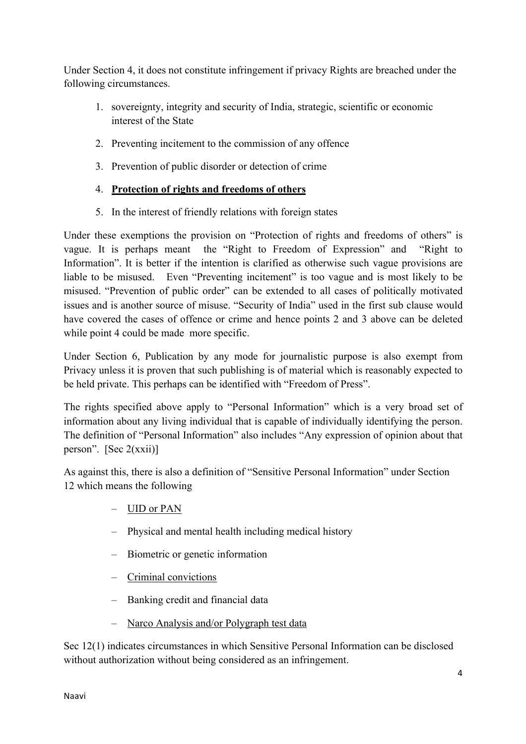Under Section 4, it does not constitute infringement if privacy Rights are breached under the following circumstances.

- 1. sovereignty, integrity and security of India, strategic, scientific or economic interest of the State
- 2. Preventing incitement to the commission of any offence
- 3. Prevention of public disorder or detection of crime

# 4. **Protection of rights and freedoms of others**

5. In the interest of friendly relations with foreign states

Under these exemptions the provision on "Protection of rights and freedoms of others" is vague. It is perhaps meant the "Right to Freedom of Expression" and "Right to Information". It is better if the intention is clarified as otherwise such vague provisions are liable to be misused. Even "Preventing incitement" is too vague and is most likely to be misused. "Prevention of public order" can be extended to all cases of politically motivated issues and is another source of misuse. "Security of India" used in the first sub clause would have covered the cases of offence or crime and hence points 2 and 3 above can be deleted while point 4 could be made more specific.

Under Section 6, Publication by any mode for journalistic purpose is also exempt from Privacy unless it is proven that such publishing is of material which is reasonably expected to be held private. This perhaps can be identified with "Freedom of Press".

The rights specified above apply to "Personal Information" which is a very broad set of information about any living individual that is capable of individually identifying the person. The definition of "Personal Information" also includes "Any expression of opinion about that person". [Sec  $2(xxii)$ ]

As against this, there is also a definition of "Sensitive Personal Information" under Section 12 which means the following

- UID or PAN
- Physical and mental health including medical history
- Biometric or genetic information
- Criminal convictions
- Banking credit and financial data
- Narco Analysis and/or Polygraph test data

Sec 12(1) indicates circumstances in which Sensitive Personal Information can be disclosed without authorization without being considered as an infringement.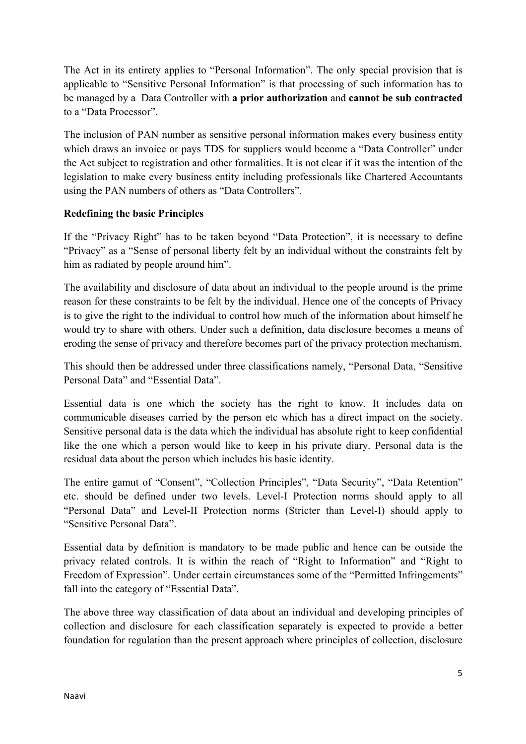The Act in its entirety applies to "Personal Information". The only special provision that is applicable to "Sensitive Personal Information" is that processing of such information has to be managed by a Data Controller with **a prior authorization** and **cannot be sub contracted** to a "Data Processor".

The inclusion of PAN number as sensitive personal information makes every business entity which draws an invoice or pays TDS for suppliers would become a "Data Controller" under the Act subject to registration and other formalities. It is not clear if it was the intention of the legislation to make every business entity including professionals like Chartered Accountants using the PAN numbers of others as "Data Controllers".

## **Redefining the basic Principles**

If the "Privacy Right" has to be taken beyond "Data Protection", it is necessary to define "Privacy" as a "Sense of personal liberty felt by an individual without the constraints felt by him as radiated by people around him".

The availability and disclosure of data about an individual to the people around is the prime reason for these constraints to be felt by the individual. Hence one of the concepts of Privacy is to give the right to the individual to control how much of the information about himself he would try to share with others. Under such a definition, data disclosure becomes a means of eroding the sense of privacy and therefore becomes part of the privacy protection mechanism.

This should then be addressed under three classifications namely, "Personal Data, "Sensitive Personal Data" and "Essential Data".

Essential data is one which the society has the right to know. It includes data on communicable diseases carried by the person etc which has a direct impact on the society. Sensitive personal data is the data which the individual has absolute right to keep confidential like the one which a person would like to keep in his private diary. Personal data is the residual data about the person which includes his basic identity.

The entire gamut of "Consent", "Collection Principles", "Data Security", "Data Retention" etc. should be defined under two levels. Level-I Protection norms should apply to all "Personal Data" and Level-II Protection norms (Stricter than Level-I) should apply to "Sensitive Personal Data".

Essential data by definition is mandatory to be made public and hence can be outside the privacy related controls. It is within the reach of "Right to Information" and "Right to Freedom of Expression". Under certain circumstances some of the "Permitted Infringements" fall into the category of "Essential Data".

The above three way classification of data about an individual and developing principles of collection and disclosure for each classification separately is expected to provide a better foundation for regulation than the present approach where principles of collection, disclosure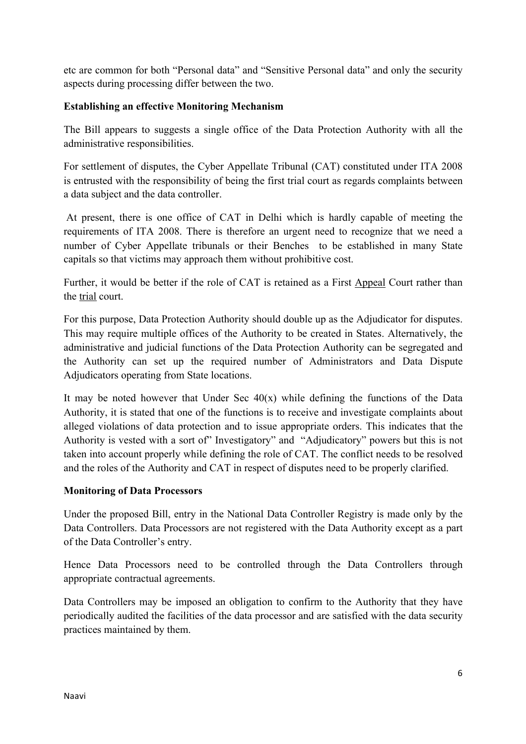etc are common for both "Personal data" and "Sensitive Personal data" and only the security aspects during processing differ between the two.

### **Establishing an effective Monitoring Mechanism**

The Bill appears to suggests a single office of the Data Protection Authority with all the administrative responsibilities.

For settlement of disputes, the Cyber Appellate Tribunal (CAT) constituted under ITA 2008 is entrusted with the responsibility of being the first trial court as regards complaints between a data subject and the data controller.

 At present, there is one office of CAT in Delhi which is hardly capable of meeting the requirements of ITA 2008. There is therefore an urgent need to recognize that we need a number of Cyber Appellate tribunals or their Benches to be established in many State capitals so that victims may approach them without prohibitive cost.

Further, it would be better if the role of CAT is retained as a First Appeal Court rather than the trial court.

For this purpose, Data Protection Authority should double up as the Adjudicator for disputes. This may require multiple offices of the Authority to be created in States. Alternatively, the administrative and judicial functions of the Data Protection Authority can be segregated and the Authority can set up the required number of Administrators and Data Dispute Adjudicators operating from State locations.

It may be noted however that Under Sec  $40(x)$  while defining the functions of the Data Authority, it is stated that one of the functions is to receive and investigate complaints about alleged violations of data protection and to issue appropriate orders. This indicates that the Authority is vested with a sort of" Investigatory" and "Adjudicatory" powers but this is not taken into account properly while defining the role of CAT. The conflict needs to be resolved and the roles of the Authority and CAT in respect of disputes need to be properly clarified.

### **Monitoring of Data Processors**

Under the proposed Bill, entry in the National Data Controller Registry is made only by the Data Controllers. Data Processors are not registered with the Data Authority except as a part of the Data Controller's entry.

Hence Data Processors need to be controlled through the Data Controllers through appropriate contractual agreements.

Data Controllers may be imposed an obligation to confirm to the Authority that they have periodically audited the facilities of the data processor and are satisfied with the data security practices maintained by them.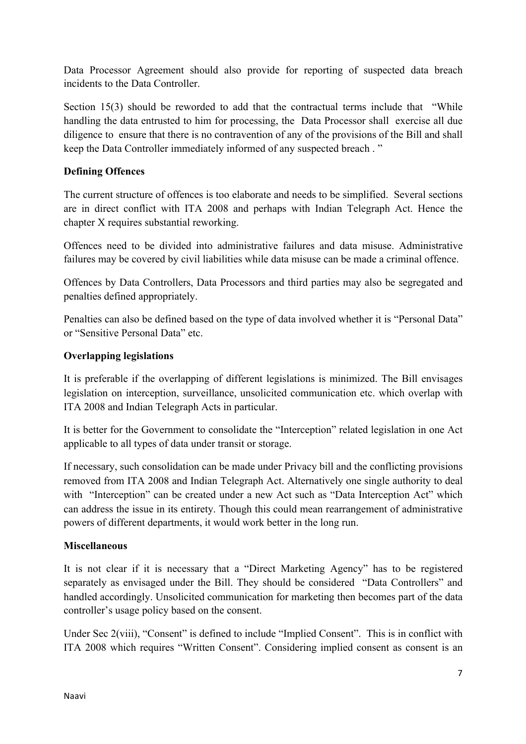Data Processor Agreement should also provide for reporting of suspected data breach incidents to the Data Controller.

Section 15(3) should be reworded to add that the contractual terms include that "While" handling the data entrusted to him for processing, the Data Processor shall exercise all due diligence to ensure that there is no contravention of any of the provisions of the Bill and shall keep the Data Controller immediately informed of any suspected breach . "

## **Defining Offences**

The current structure of offences is too elaborate and needs to be simplified. Several sections are in direct conflict with ITA 2008 and perhaps with Indian Telegraph Act. Hence the chapter X requires substantial reworking.

Offences need to be divided into administrative failures and data misuse. Administrative failures may be covered by civil liabilities while data misuse can be made a criminal offence.

Offences by Data Controllers, Data Processors and third parties may also be segregated and penalties defined appropriately.

Penalties can also be defined based on the type of data involved whether it is "Personal Data" or "Sensitive Personal Data" etc.

### **Overlapping legislations**

It is preferable if the overlapping of different legislations is minimized. The Bill envisages legislation on interception, surveillance, unsolicited communication etc. which overlap with ITA 2008 and Indian Telegraph Acts in particular.

It is better for the Government to consolidate the "Interception" related legislation in one Act applicable to all types of data under transit or storage.

If necessary, such consolidation can be made under Privacy bill and the conflicting provisions removed from ITA 2008 and Indian Telegraph Act. Alternatively one single authority to deal with "Interception" can be created under a new Act such as "Data Interception Act" which can address the issue in its entirety. Though this could mean rearrangement of administrative powers of different departments, it would work better in the long run.

### **Miscellaneous**

It is not clear if it is necessary that a "Direct Marketing Agency" has to be registered separately as envisaged under the Bill. They should be considered "Data Controllers" and handled accordingly. Unsolicited communication for marketing then becomes part of the data controller's usage policy based on the consent.

Under Sec 2(viii), "Consent" is defined to include "Implied Consent". This is in conflict with ITA 2008 which requires "Written Consent". Considering implied consent as consent is an